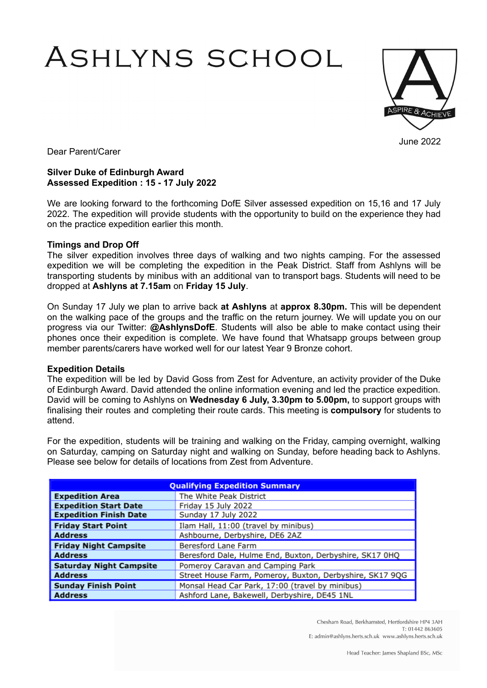# ASHLYNS SCHOOL



June 2022

Dear Parent/Carer

# **Silver Duke of Edinburgh Award Assessed Expedition : 15 - 17 July 2022**

We are looking forward to the forthcoming DofE Silver assessed expedition on 15,16 and 17 July 2022. The expedition will provide students with the opportunity to build on the experience they had on the practice expedition earlier this month.

# **Timings and Drop Off**

The silver expedition involves three days of walking and two nights camping. For the assessed expedition we will be completing the expedition in the Peak District. Staff from Ashlyns will be transporting students by minibus with an additional van to transport bags. Students will need to be dropped at **Ashlyns at 7.15am** on **Friday 15 July**.

On Sunday 17 July we plan to arrive back **at Ashlyns** at **approx 8.30pm.** This will be dependent on the walking pace of the groups and the traffic on the return journey. We will update you on our progress via our Twitter: **@AshlynsDofE**. Students will also be able to make contact using their phones once their expedition is complete. We have found that Whatsapp groups between group member parents/carers have worked well for our latest Year 9 Bronze cohort.

#### **Expedition Details**

The expedition will be led by David Goss from Zest for Adventure, an activity provider of the Duke of Edinburgh Award. David attended the online information evening and led the practice expedition. David will be coming to Ashlyns on **Wednesday 6 July, 3.30pm to 5.00pm,** to support groups with finalising their routes and completing their route cards. This meeting is **compulsory** for students to attend.

For the expedition, students will be training and walking on the Friday, camping overnight, walking on Saturday, camping on Saturday night and walking on Sunday, before heading back to Ashlyns. Please see below for details of locations from Zest from Adventure.

| <b>Qualifying Expedition Summary</b> |                                                          |
|--------------------------------------|----------------------------------------------------------|
| <b>Expedition Area</b>               | The White Peak District                                  |
| <b>Expedition Start Date</b>         | Friday 15 July 2022                                      |
| <b>Expedition Finish Date</b>        | Sunday 17 July 2022                                      |
| <b>Friday Start Point</b>            | Ilam Hall, 11:00 (travel by minibus)                     |
| <b>Address</b>                       | Ashbourne, Derbyshire, DE6 2AZ                           |
| <b>Friday Night Campsite</b>         | Beresford Lane Farm                                      |
| <b>Address</b>                       | Beresford Dale, Hulme End, Buxton, Derbyshire, SK17 0HQ  |
| <b>Saturday Night Campsite</b>       | Pomeroy Caravan and Camping Park                         |
| <b>Address</b>                       | Street House Farm, Pomeroy, Buxton, Derbyshire, SK17 9QG |
| <b>Sunday Finish Point</b>           | Monsal Head Car Park, 17:00 (travel by minibus)          |
| <b>Address</b>                       | Ashford Lane, Bakewell, Derbyshire, DE45 1NL             |

Chesham Road, Berkhamsted, Hertfordshire HP4 3AH T: 01442 863605 E: admin@ashlyns.herts.sch.uk www.ashlyns.herts.sch.uk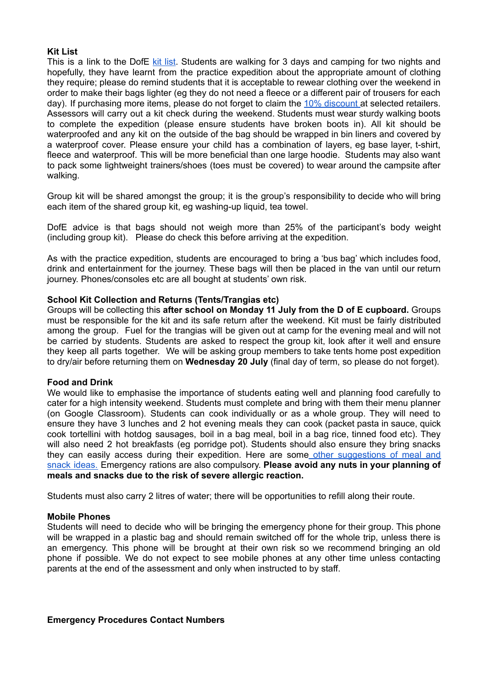## **Kit List**

This is a link to the DofE kit [list](https://www.dofe.org/shopping/dofe-expedition-kit-list/). Students are walking for 3 days and camping for two nights and hopefully, they have learnt from the practice expedition about the appropriate amount of clothing they require; please do remind students that it is acceptable to rewear clothing over the weekend in order to make their bags lighter (eg they do not need a fleece or a different pair of trousers for each day). If purchasing more items, please do not forget to claim the 10% [discount](https://www.dofe.org/shopping/card/dofe-card-and-voucher/) at selected retailers. Assessors will carry out a kit check during the weekend. Students must wear sturdy walking boots to complete the expedition (please ensure students have broken boots in). All kit should be waterproofed and any kit on the outside of the bag should be wrapped in bin liners and covered by a waterproof cover. Please ensure your child has a combination of layers, eg base layer, t-shirt, fleece and waterproof. This will be more beneficial than one large hoodie. Students may also want to pack some lightweight trainers/shoes (toes must be covered) to wear around the campsite after walking.

Group kit will be shared amongst the group; it is the group's responsibility to decide who will bring each item of the shared group kit, eg washing-up liquid, tea towel.

DofE advice is that bags should not weigh more than 25% of the participant's body weight (including group kit). Please do check this before arriving at the expedition.

As with the practice expedition, students are encouraged to bring a 'bus bag' which includes food, drink and entertainment for the journey. These bags will then be placed in the van until our return journey. Phones/consoles etc are all bought at students' own risk.

#### **School Kit Collection and Returns (Tents/Trangias etc)**

Groups will be collecting this **after school on Monday 11 July from the D of E cupboard.** Groups must be responsible for the kit and its safe return after the weekend. Kit must be fairly distributed among the group. Fuel for the trangias will be given out at camp for the evening meal and will not be carried by students. Students are asked to respect the group kit, look after it well and ensure they keep all parts together. We will be asking group members to take tents home post expedition to dry/air before returning them on **Wednesday 20 July** (final day of term, so please do not forget).

#### **Food and Drink**

We would like to emphasise the importance of students eating well and planning food carefully to cater for a high intensity weekend. Students must complete and bring with them their menu planner (on Google Classroom). Students can cook individually or as a whole group. They will need to ensure they have 3 lunches and 2 hot evening meals they can cook (packet pasta in sauce, quick cook tortellini with hotdog sausages, boil in a bag meal, boil in a bag rice, tinned food etc). They will also need 2 hot breakfasts (eg porridge pot). Students should also ensure they bring snacks they can easily access during their expedition. Here are some other [suggestions](https://www.theordinaryadventurer.com/advice/dofe-food-ideas/) of meal and snack [ideas.](https://www.theordinaryadventurer.com/advice/dofe-food-ideas/) Emergency rations are also compulsory. **Please avoid any nuts in your planning of meals and snacks due to the risk of severe allergic reaction.**

Students must also carry 2 litres of water; there will be opportunities to refill along their route.

#### **Mobile Phones**

Students will need to decide who will be bringing the emergency phone for their group. This phone will be wrapped in a plastic bag and should remain switched off for the whole trip, unless there is an emergency. This phone will be brought at their own risk so we recommend bringing an old phone if possible. We do not expect to see mobile phones at any other time unless contacting parents at the end of the assessment and only when instructed to by staff.